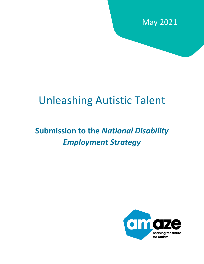

# Unleashing Autistic Talent

# **Submission to the** *National Disability Employment Strategy*

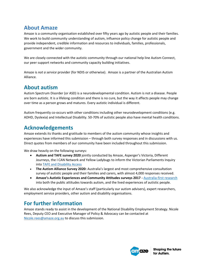## **About Amaze**

Amaze is a community organisation established over fifty years ago by autistic people and their families. We work to build community understanding of autism, influence policy change for autistic people and provide independent, credible information and resources to individuals, families, professionals, government and the wider community.

We are closely connected with the autistic community through our national help line Autism Connect, our peer support networks and community capacity building initiatives.

Amaze is *not a service* provider (for NDIS or otherwise). Amaze is a partner of the Australian Autism Alliance.

### **About autism**

Autism Spectrum Disorder (or ASD) is a neurodevelopmental condition. Autism is not a disease. People are born autistic. It is a lifelong condition and there is no cure, but the way it affects people may change over time as a person grows and matures. Every autistic individual is different.

Autism frequently co-occurs with other conditions including other neurodevelopment conditions (e.g. ADHD, Dyslexia) and Intellectual Disability. 50-70% of autistic people also have mental health conditions.

## **Acknowledgements**

Amaze extends its thanks and gratitude to members of the autism community whose insights and experiences have informed this submission – through both survey responses and in discussions with us. Direct quotes from members of our community have been included throughout this submission.

We draw heavily on the following surveys:

- **Autism and TAFE survey 2020** jointly conducted by Amaze, Asperger's Victoria, Different Journeys, the I CAN Network and Yellow Ladybugs to inform the Victorian Parliaments Inquiry into [TAFE and Disability Access](https://www.amaze.org.au/wp-content/uploads/2020/12/Amaze-submission-TAFE-and-Autism-Nov-2020.pdf)
- **The Autism Alliance Survey 2020:** Australia's largest and most comprehensive consultation survey of autistic people and their families and carers, with almost 4,000 responses received.
- **Amaze's Autistic Experiences and Community Attitudes surveys 2017 -** [Australia-first research](https://www.amaze.org.au/creating-change/research/) into both the public attitudes towards autism, and the lived experiences of autistic people.

We also acknowledge the input of Amaze's staff (particularly our autism advisers), expert researchers, employment service providers, other autism and disability organisations.

# **For further information**

Amaze stands ready to assist in the development of the National Disability Employment Strategy. Nicole Rees, Deputy CEO and Executive Manager of Policy & Advocacy can be contacted at [Nicole.rees@amaze.org.au](mailto:Nicole.rees@amaze.org.au) to discuss this submission.

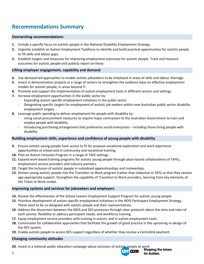# **Recommendations Summary**

#### **Overarching recommendations**

- **1.** Include a specific focus on autistic people in the National Disability Employment Strategy.
- **2.** Urgently establish an Autism Employment Taskforce to identify and build practical opportunities for autistic people to fill skills and labour gaps.
- **3.** Establish targets and measures for improving employment outcomes for autistic people. Track and measure outcomes for autistic people and publicly report on these.

#### **Lifting employer engagement, capability and demand**

- **4.** Use demand-led approaches to enable autistic jobseekers to be employed in areas of skills and labour shortage.
- **5.** Invest in demonstration projects in a range of sectors to strengthen the evidence base on effective employment models for autistic people, in areas beyond IT.
- **6.** Promote and support the implementation of autism employment tools in different sectors and settings.
- **7.** Increase employment opportunities in the public sector by:
	- Expanding autism specific employment initiatives in the public sector
	- Designating specific targets for employment of autistic job seekers within new Australian public sector disability employment targets.
- **8.** Leverage public spending to deliver employment for people with disability by:
	- Using social procurement measures to require major contractors to the Australian Government to train and employ people with disability.
	- Introducing purchasing arrangement that preference social enterprises including those hiring people with disability

#### **Building employment skills, experience and confidence of young people with disability**

- **9.** Ensure autistic young people have access to fit for purpose vocational exploration and work experience opportunities at school and in community and vocational training.
- **10.** Pilot an Autism Inclusion Program in a range of TAFE settings.
- **11.** Expand work-based training programs for autistic young people through place-based collaborations of TAFEs, employment service providers and industry partners.
- **12.** Target the inclusion of autistic people in subsidised apprenticeships and traineeships.
- **13.** Stream young autistic people into the Transition to Work program (rather than Jobactive or DES) so that they receive age-appropriate support. Strengthen the capability of Transition to Work providers, learning from key elements of the Ticket to Work model.

#### **Improving systems and services for jobseekers and employers**

- **14.** Review the effectiveness of the School Leavers Employment Support Program for autistic young people.
- **15.** Prioritise development of autism specific employment initiatives in the NDIS Participant Employment Strategy. These need to be co-designed with autistic people and their representatives.
- **16.** Address the disconnect between the NDIS and DES processes through clear protocols about the aims and roles of each service; flexibility to address participant needs; and workforce training.
- **17.** Equip employment service providers with training in autism, and in autism employment tools.
- **18.** Commission for collaborative approaches that facilitate the growth of good practice in the upcoming re-design of the DES system.
- **19.** Enable autistic people to access DES support regardless of whether they receive a Centrelink payment.

#### **Changing community attitudes**

**20.** Invest in a national public education campaign about inclusion of autistic people at work.<br>**Shaping the future** 

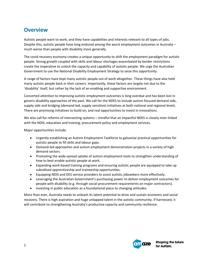## **Overview**

Autistic people want to work, and they have capabilities and interests relevant to all types of jobs. Despite this, autistic people have long endured among the worst employment outcomes in Australia – much worse than people with disability more generally.

The covid recovery economy creates a unique opportunity to shift the employment paradigm for autistic people. Strong growth coupled with skills and labour shortages exacerbated by border restrictions create the imperative to unlock the capacity and capability of autistic people. We urge the Australian Government to use the National Disability Employment Strategy to seize this opportunity.

A range of factors have kept many autistic people out of work altogether. These things have also held many autistic people back in their careers. Importantly, these factors are largely not due to the 'disability' itself, but rather by the lack of an enabling and supportive environment.

Concerted attention to improving autistic employment outcomes is long overdue and has been lost in generic disability approaches of the past. We call for the NDES to include autism focused demand side, supply side and bridging (demand-led, supply sensitive) initiatives at both national and regional levels. There are promising initiatives to build on, and real opportunities to invest in innovations.

We also call for reforms of intersecting systems – mindful that an impactful NDES is closely inter-linked with the NDIS; education and training; procurement policy and employment services.

Major opportunities include:

- Urgently establishing an Autism Employment Taskforce to galvanise practical opportunities for autistic people to fill skills and labour gaps.
- Demand-led approaches and autism employment demonstration projects in a variety of high demand sectors.
- Promoting the wide-spread uptake of autism employment tools to strengthen understanding of how to best enable autistic people at work.
- Expanding work-based training programs and ensuring autistic people are equipped to take up subsidised apprenticeship and traineeship opportunities.
- Equipping NDIS and DES service providers to assist autistic jobseekers more effectively.
- Leveraging the Australian Government's purchasing power to deliver employment outcomes for people with disability (e.g. through social procurement requirements on major contractors).
- Investing in public education as a foundational piece to changing attitudes.

More than ever, Australia needs to unleash its latent potential to drive and sustain economic and social recovery. There is high aspiration and huge untapped talent in the autistic community. If harnessed, it will contribute to strengthening Australia's productive capacity and community resilience.

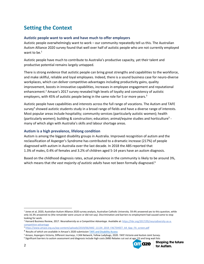# **Setting the Context**

#### **Autistic people want to work and have much to offer employers**

Autistic people overwhelmingly want to work – our community repeatedly tell us this. The Australian Autism Alliance 2020 survey found that well over half of autistic people who are not currently employed want to be. $<sup>1</sup>$ </sup>

Autistic people have much to contribute to Australia's productive capacity, yet their talent and productive potential remains largely untapped.

There is strong evidence that autistic people can bring great strengths and capabilities to the workforce, and make skillful, reliable and loyal employees. Indeed, there is a sound business case for neuro-diverse workplaces, which can deliver competitive-advantages including productivity gains, quality improvement, boosts in innovative capabilities, increases in employee engagement and reputational enhancement.<sup>2</sup> Amaze's 2017 survey revealed high levels of loyalty and consistency of autistic employers, with 45% of autistic people being in the same role for 5 or more years.<sup>3</sup>

Autistic people have capabilities and interests across the full range of vocations. The Autism and TAFE survey<sup>4</sup> showed autistic students study in a broad range of fields and have a diverse range of interests. Most popular areas include hospitality; community services (particularly autistic women); health (particularly women); building & construction; education; animal/equine studies and horticulture<sup>5</sup> many of which align with Australia's skills and labour shortage areas.

#### **Autism is a high prevalence, lifelong condition**

Autism is among the biggest disability groups in Australia. Improved recognition of autism and the reclassification of Asperger's Syndrome has contributed to a dramatic increase (217%) of people diagnosed with autism in Australia over the last decade. In 2018 the ABS reported that 1.3% of males, 0.4% of females and 3.2% of children aged 5-14 years have an autism diagnosis.

Based on the childhood diagnosis rates, actual prevalence in the community is likely to be around 3%, which means that *the vast majority of autistic adults* have not been formally diagnosed.<sup>6</sup>

<sup>&</sup>lt;sup>6</sup> Significant barriers to autism assessment and diagnosis include high costs (MBS Rebates cut out at age 13) and long wait lists



<sup>1</sup> Jones et al, 2020, Australian Autism Alliance 2020 survey analysis, Australian Catholic University. 59.4% answered yes to this question, while only 16.3% answered no (the remainder were unsure or did not say). Discrimination and barriers to employment had caused some to stop looking for work.

<sup>&</sup>lt;sup>2</sup> Harvard Business Review, 2017. *Neurodiversity as a Competitive Advantage*. Available at[: https://hbr.org/2017/05/neurodiversity-as-a](https://hbr.org/2017/05/neurodiversity-as-a-competitive-advantage)[competitive-advantage](https://hbr.org/2017/05/neurodiversity-as-a-competitive-advantage)

<sup>3</sup> [https://www.amaze.org.au/wp-content/uploads/2019/06/AMZ\\_11134\\_2019\\_FACTSHEET\\_A4\\_6pp\\_FA\\_screen.pdf](https://www.amaze.org.au/wp-content/uploads/2019/06/AMZ_11134_2019_FACTSHEET_A4_6pp_FA_screen.pdf)

<sup>&</sup>lt;sup>4</sup> Results of which are available in Amaze's 2020 submission **[TAFE and Disability Access](https://www.amaze.org.au/wp-content/uploads/2020/12/Amaze-submission-TAFE-and-Autism-Nov-2020.pdf)** 

<sup>5</sup> Amaze, Aspergers Victoria, Different Journeys, I CAN Network, Yellow Ladybugs, 2020. *TAFE Victoria and Autism Joint Survey*.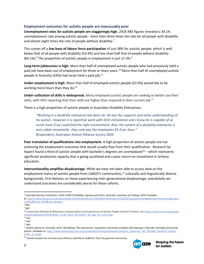#### **Employment outcomes for autistic people are inexcusably poor**

**Unemployment rates for autistic people are staggeringly high.** 2018 ABS figures revealed a 34.1% unemployment rate among autistic people - *more than three times the rate for all people with disability* and almost eight times the rate of people without disability.<sup>7</sup>

This comes off a **low base of labour force participation** of just 38% for autistic people, which is well below that of all people with disability (53.4%) and less than half that of people without disability  $(84.1\%)$ .<sup>8</sup> The proportion of autistic people in employment is just 27.3%.<sup>9</sup>

**Long-term joblessness is high**. More than half of unemployed autistic people who had previously held a paid job have been out of employment for three or more years.<sup>10</sup> More than half of unemployed autistic people in Australia (54%) had never held a paid job.<sup>11</sup>

**Under-employment is high**. More than half of employed autistic people (53.9%) would like to be working more hours than they do.<sup>12</sup>

**Under-utilisation of skills is widespread.** Many employed autistic people are seeking to better use their skills, with 45% reporting that their skills are higher than required in their current job.<sup>13</sup>

There is a high proportion of autistic people in Australian Disability Enterprises.

*"Working in a disability enterprise has been ok. He has the supports and some understanding of his autism. However it is repetitive work with little stimulation and I know he is capable of so much more if we could find the right environment. Also, the system of a disability enterprise is very unfair monetarily…they only pay the employees \$3-4 per hour."* Respondent, Australian Autism Alliance Survey 2020

**Poor translation of qualifications into employment.** A high proportion of autistic people are not achieving the employment outcomes that would usually flow from their qualification. Research by Aspect found a third of autistic people with bachelor's degrees are unemployed $^{14}$  – which represents significant productive capacity that is going unutilised and a poor return on investment in tertiary education.

**Intersectionality amplifies disadvantage**. While we have not been able to access data on the employment status of autistic people from LGBQTI+ communities,<sup>15</sup> culturally and linguistically diverse backgrounds; First Nations; or those experiencing inter-generational disadvantage, anecdotally we understand outcomes are considerably worse for these cohorts.

 $15$  Autistic people are six times more likely to identify as LGBQTU+ than the general community



<sup>7</sup> Australian Bureau of Statistics, 2018. *4430.0 Disability, Ageing and Carers, Australia: Summary of Findings 2018.* Available at: [https://www.abs.gov.au/ausstats/abs@.nsf/Latestproducts/4430.0Main%20Features102018?opendocument&tabname=Summary&prodno](https://www.abs.gov.au/ausstats/abs@.nsf/Latestproducts/4430.0Main%20Features102018?opendocument&tabname=Summary&prodno=4430.0&issue=2018&num=&view=) [=4430.0&issue=2018&num=&view=](https://www.abs.gov.au/ausstats/abs@.nsf/Latestproducts/4430.0Main%20Features102018?opendocument&tabname=Summary&prodno=4430.0&issue=2018&num=&view=)

<sup>8</sup> *ibid*

<sup>9</sup> *ibid*

<sup>10</sup> *Community Attitudes & Behaviours towards Autism and Experiences of Autistic People and their Families, se[e https://www.amaze.org.au/wp](https://www.amaze.org.au/wp-content/uploads/2019/06/AMZ_11134_2019_FACTSHEET_A4_6pp_FA_screen.pdf)[content/uploads/2019/06/AMZ\\_11134\\_2019\\_FACTSHEET\\_A4\\_6pp\\_FA\\_screen.pdf](https://www.amaze.org.au/wp-content/uploads/2019/06/AMZ_11134_2019_FACTSHEET_A4_6pp_FA_screen.pdf)*

<sup>11</sup> *ibid*

<sup>12</sup> *ibid* <sup>13</sup> *ibid*

<sup>14</sup> Autism Spectrum Australia, 2013. *We Belong: The experiences, aspirations and needs of adults with Asperger's disorder and high functioning*  autism. Available at: [https://www.autismspectrum.org.au/uploads/documents/Research/Autism\\_Spectrum\\_WE\\_BELONG\\_Research\\_Report-](https://www.autismspectrum.org.au/uploads/documents/Research/Autism_Spectrum_WE_BELONG_Research_Report-FINAL_LR_R.pdf)[FINAL\\_LR\\_R.pdf](https://www.autismspectrum.org.au/uploads/documents/Research/Autism_Spectrum_WE_BELONG_Research_Report-FINAL_LR_R.pdf)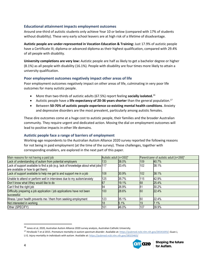#### **Educational attainment impacts employment outcomes**

Around one-third of autistic students only achieve Year 10 or below (compared with 17% of students without disability). These very early school leavers are at high risk of a lifetime of disadvantage.

**Autistic people are under-represented in Vocation Education & Training:** Just 17.9% of autistic people have a Certificate III; diploma or advanced diploma as their highest qualification, compared with 29.4% of all people with disability.

**University completions are very low:** Autistic people are half as likely to get a bachelor degree or higher (8.1%) as all people with disability (16.1%). People with disability are four times more likely to attain a university qualification.

#### **Poor employment outcomes negatively impact other areas of life**

Poor employment outcomes negatively impact on other areas of life, culminating in very poor life outcomes for many autistic people.

- More than two-thirds of autistic adults (67.5%) report feeling **socially isolated.**<sup>16</sup>
- Autistic people have a **life expectancy of 20-36 years shorter** than the general population.<sup>17</sup>
- Between **50-70% of autistic people experience co-existing mental health conditions**. Anxiety and depressive disorders are the most prevalent, particularly among autistic females.

These dire outcomes come at a huge cost to autistic people, their families and the broader Australian community. They require urgent and dedicated action. Moving the dial on employment outcomes will lead to positive impacts in other life domains.

#### **Autistic people face a range of barriers of employment**

Working-age respondents to the Australian Autism Alliance 2020 survey reported the following reasons for not being in paid employment (at the time of the survey). These challenges, together with corresponding enablers, are explored in the next part of this paper.

| Main reasons for not having a paid job                                                                                   | Autistic adult [n=350]* | Parent/carer of autistic adult [n=268]* |             |       |
|--------------------------------------------------------------------------------------------------------------------------|-------------------------|-----------------------------------------|-------------|-------|
| Lack of understanding of autism from potential employers                                                                 | 133                     | 38.0%                                   | 109         | 40.7% |
| Lack of support available to find a job (e.g. lack of knowledge about what jobs 117<br>are available or how to get them) |                         | 33.4%                                   | 102         | 38.1% |
| Lack of support available to help me get to and support me in a job                                                      | 108                     | 30.9%                                   | 102         | 38.1% |
| Unable to attend or perform well in interviews due to my autism/anxiety                                                  | 125                     | 35.7%                                   | 115         | 42.9% |
| Don't know what I/they would like to do                                                                                  | 67                      | 19.1%                                   | 68          | 25.4% |
| Can't find the right job                                                                                                 | 94                      | 26.9%                                   | $8^{\circ}$ | 30.2% |
| Difficulty preparing a job application / job applications have not been<br>successful                                    | 100                     | 28.6%                                   | 60          | 22.4% |
| Illness / poor health prevents me / them from seeking employment                                                         | 123                     | 35.1%                                   | 60          | 22.4% |
| Not interested in working                                                                                                | 18                      | 5.1%                                    | 19          | 7.1%  |
| Other (SPECIFY)                                                                                                          | 161                     | 46.0%                                   | 107         | 39.9% |

Li G. *Injury mortality in individuals with autism*. Available at[: https://pubmed.ncbi.nlm.nih.gov/28323463/](https://pubmed.ncbi.nlm.nih.gov/28323463/)



<sup>16</sup> Jones et al, 2020, Australian Autism Alliance 2020 survey analysis, Australian Catholic University.

<sup>17</sup> Hirvikoski T et al 2015. *Premature mortality in autism spectrum disorder.* Available at[: https://pubmed.ncbi.nlm.nih.gov/26541693/;](https://pubmed.ncbi.nlm.nih.gov/26541693/) Guan J,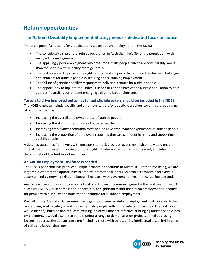# **Reform opportunities**

### **The National Disability Employment Strategy needs a dedicated focus on autism**

There are powerful reasons for a dedicated focus on autism employment in the NDES:

- The considerable size of the autistic population in Australia (likely 3% of the population, with many adults undiagnosed)
- The appallingly poor employment outcomes for autistic people, which are considerably worse than for people with disability more generally
- The real potential to provide the right settings and supports that address the discreet challenges and enablers for autistic people in securing and sustaining employment
- The failure of generic disability responses to deliver outcomes for autistic people
- The opportunity to tap into the under-utilised skills and talents of the autistic population to help address Australia's current and emerging skills and labour shortages.

#### **Targets to drive improved outcomes for autistic jobseekers should be included in the NDES**

The NDES ought to include specific and ambitious targets for autistic jobseekers covering a broad range of outcomes such as:

- Increasing the overall employment rate of autistic people
- Improving the skills utilisation rate of autistic people
- Increasing employment retention rates and positive employment experiences of autistic people
- Increasing the proportion of employers reporting they are confident in hiring and supporting autistic people

A detailed outcomes framework with measures to track progress across key indicators would enable critical insight into what is working (or not), highlight where attention is most needed, and inform decisions about the best use of resources.

### **An Autism Employment Taskforce is needed**

The COVID pandemic has produced unique economic conditions in Australia. For the time being, we are largely cut off from the opportunity to employ international labour. Australia's economic recovery is accompanied by growing skills and labour shortages, with government investments fuelling demand.

Australia will need to draw down on its local talent to an uncommon degree for the next year or two. A successful NDES would harness this opportunity to significantly shift the dial on employment outcomes for people with disability and build the foundations for sustained employment.

We call on the Australian Government to urgently convene an Autism Employment Taskforce, with the overarching goal to catalyse and connect autistic people with immediate opportunities. The Taskforce would identify, build on and replicate existing initiatives that are effective at bringing autistic people into employment. It would also initiate and monitor a range of demonstration projects aimed at placing jobseekers across the autism spectrum (including those with co-occurring intellectual disability) in areas of skills and labour shortage.

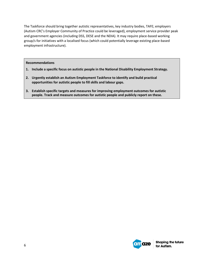The Taskforce should bring together autistic representatives, key industry bodies, TAFE; employers (Autism CRC's Employer Community of Practice could be leveraged), employment service provider peak and government agencies (including DSS, DESE and the NDIA). It may require place-based working group/s for initiatives with a localised focus (which could potentially leverage existing place-based employment infrastructure).

#### **Recommendations**

- **1. Include a specific focus on autistic people in the National Disability Employment Strategy.**
- **2. Urgently establish an Autism Employment Taskforce to identify and build practical opportunities for autistic people to fill skills and labour gaps.**
- **3. Establish specific targets and measures for improving employment outcomes for autistic people. Track and measure outcomes for autistic people and publicly report on these.**

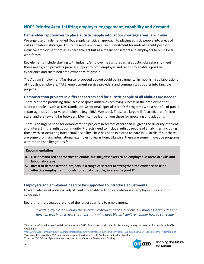### **NDES Priority Area 1: Lifting employer engagement, capability and demand**

#### **Demand-led approaches to place autistic people into labour shortage areas: a win-win**

We urge use of a demand-led (but supply sensitive) approach to placing autistic people into areas of skills and labour shortage. This represents a win-win. Such investment for mutual benefit positions inclusive employment not as a charitable act but as a means for sectors and employers to build local workforces.

Key elements include starting with industry/employer needs; preparing autistic jobseekers to meet these needs; and providing parallel support to both employer and recruit to enable a positive experience and sustained employment relationship.

The Autism Employment Taskforce (proposed above) could be instrumental in mobilising collaborations of industry/employers; TAFE; employment service providers and community supports into tangible projects.

#### **Demonstration projects in different sectors and for autistic people of all abilities are needed**

There are some promising small-scale bespoke initiatives achieving success in the employment of autistic people – such as DXC Dandelion, Xceptional, Specialisterne's<sup>18</sup> programs with a handful of public sector agencies and private employers (e.g. IBM, Westpac). These are largely IT focused, are of micro scale, and are few and far between. Much can be learnt from these for upscaling and adapting.

There is an urgent need for demonstration projects in sectors other than IT, given the diversity of talent and interest in the autistic community. Projects need to include autistic people of all abilities, including those with co-occurring intellectual disability. Little has been explored to-date in Australia,<sup>19</sup> but there are some promising international examples to learn from. Likewise, there are some innovative programs with other disability groups.<sup>20</sup>

#### **Recommendation**

- **4. Use demand-led approaches to enable autistic jobseekers to be employed in areas of skills and labour shortage.**
- **5. Invest in demonstration projects in a range of sectors to strengthen the evidence base on effective employment models for autistic people, in areas beyond IT.**

#### **Employers and employees need to be supported to introduce adjustments**

Low knowledge of potential adjustments to enable autistic candidates and employees is a common experience.

Recruitment processes are one of the largest barriers to employment:

*"Writing my CV, answering the selection criteria and the interview. My brain especially doesn't function well in interview situations - my mind goes blank, I can't remember how to say some* 

[https://www.parliament.vic.gov.au/images/stories/committees/fcdc/inquiries/58th/Autism/Submissions/S064\\_Specialisterne\\_Australia.pdf](https://www.parliament.vic.gov.au/images/stories/committees/fcdc/inquiries/58th/Autism/Submissions/S064_Specialisterne_Australia.pdf) <sup>19</sup> An exception is Autism CRC's autism employment partnership with SunPork – animal husbandry

<sup>&</sup>lt;sup>20</sup> Such as CVGT/Down Syndrome work, supported by Victorian Government funding



<sup>&</sup>lt;sup>18</sup> For more information, see Specialisterne Australia 2015. Submission to Victorian Parliamentary Inquiry into services for people with ASD. Available at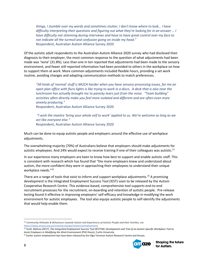*things, I stumble over my words and sometimes stutter, I don't know where to look… I have difficulty interpreting their questions and figuring out what they're looking for in an answer … I have difficulty not stimming during interviews and have to have great control over my face to not indicate all the turmoil and confusion going on inside my head."* Respondent, Australian Autism Alliance Survey 2020

Of the autistic adult respondents to the Australian Autism Alliance 2020 survey who had disclosed their diagnosis to their employer, the most common response to the question of what adjustments had been made was 'none' (31.8%). Less than one in ten reported that adjustments had been made to the sensory environment, and fewer still reported information had been provided to others in the workplace on how to support them at work. More common adjustments included flexible hours, providing a set work routine, avoiding changes and adapting communication methods to match preferences.

*"All kinds of 'normal' stuff is MUCH harder when you have sensory processing issues, for me an open plan office with fluro lights is like trying to work in a disco. A desk that is also near the lunchroom has actually brought me to panicky tears just from the noise. "Team building" activities often directly make you feel more isolated and different and are often even more anxiety producing."*

Respondent, Australian Autism Alliance Survey 2020

*"I wish the mantra 'bring your whole self to work' applied to us. We're welcome as long as we act like everyone else."* Respondent, Australian Autism Alliance Survey 2020

Much can be done to equip autistic people and employers around the effective use of workplace adjustments.

The overwhelming majority (70%) of Australians believe that employers should make adjustments for autistic employees. And 24% would expect to receive training if one of their colleagues was autistic.<sup>21</sup>

In our experience many employers are keen to know how best to support and enable autistic staff. This is consistent with research which has found that "the more employers knew and understood about autism, the more confident they were in approaching their employees to understand their unique workplace needs."22

There are a range of tools that exist to inform and support workplace adjustments.<sup>23</sup> A promising development is the Integrated Employment Success Tool (IEST) soon to be released by the Autism Cooperative Research Centre. This evidence-based, comprehensive tool supports end-to-end recruitment processes for the recruitment, on-boarding and retention of autistic people. Pre-release testing found it effective in improving employers' self-efficacy and knowledge in modifying the work environment for autistic employees. The tool also equips autistic people to self-identify the adjustments that would help enable them.

<sup>&</sup>lt;sup>23</sup> Earlier autism employment tips have been released by the Olga Tennison Autism Research Centre and Amaze.



<sup>21</sup> *Community Attitudes & Behaviours towards Autism and Experiences of Autistic People and their Families, see*  <https://www.amaze.org.au/creating-change/research/employment/>

<sup>22</sup> Scott, Melissa (2017), *The Integrated Employment Success Tool (IESTTM): Development and Trial of an Autism-Specific Workplace Tool to Assist Employers in Modifying the Work Environment* (PhD thesis), Curtin University.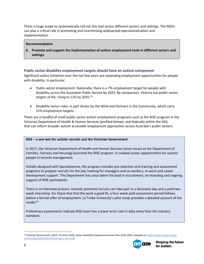There is huge scope to systematically roll out this tool across different sectors and settings. The NDES can play a critical role in promoting and incentivising widespread operationalisation and implementation.

#### **Recommendation**

**6. Promote and support the implementation of autism employment tools in different sectors and settings.**

#### **Public sector disability employment targets should have an autism component**

Significant policy initiatives over the last few years are expanding employment opportunities for people with disability. In particular:

- Public sector employment. Nationally, there is a 7% employment target for people with disability across the Australian Public Service by 2025. By comparison, Victoria has public sector targets of 6%, rising to 12% by 2025. $24$
- Disability sector roles, in part driven by the NDIA and Partners in the Community, which carry 15% employment targets.

There are a handful of small public sector autism employment programs such as the RISE program in the Victorian Department of Health & Human Services (profiled below), and federally within the DSS, that can inform broader autism accessible employment approaches across Australia's public sectors.

#### **RISE – a win-win for autistic recruits and the Victorian Government**

In 2017, the Victorian Department of Health and Human Services (since recast as the Department of Families, Fairness and Housing) launched the RISE program. It created career opportunities for autistic people in records management.

Initially designed with Specialisterne, the program includes pre-selection and training and assessment programs to prepare recruits for the job; training for managers and co-workers; in-work and career development support. The Department has since taken the lead in recruitment, on boarding and ongoing support of RISE participants.

There is no interview process. Instead, potential recruits can take part in a discovery day and a paid twoweek internship. For those that find the work a good fit, a four-week paid assessment period follows before a formal offer of employment. La Trobe University's pilot study provides a detailed account of the  $model.<sup>65</sup>$ 

Preliminary assessments indicate RISE team has a lower error rate in data entry than the industry standard.

<sup>&</sup>lt;sup>24</sup> Victorian Government, 2018. Victorian Public Sector Disability Employment Action Plan 2018-2025. Available at[: https://vpsc.vic.gov.au/wp](https://vpsc.vic.gov.au/wp-content/uploads/2018/10/Getting-to-work.pdf)[content/uploads/2018/10/Getting-to-work.pdf](https://vpsc.vic.gov.au/wp-content/uploads/2018/10/Getting-to-work.pdf)

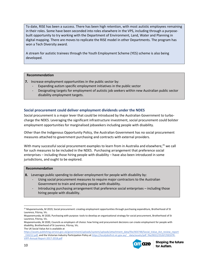To date, RISE has been a success. There has been high retention, with most autistic employees remaining in their roles. Some have been seconded into roles elsewhere in the VPS, including through a purposebuilt opportunity to try working with the Department of Environment, Land, Water and Planning in digital mapping. There are moves to replicate the RISE model in other Departments. The program has won a Tech Diversity award.

A stream for autistic trainees through the Youth Employment Scheme (YES) scheme is also being developed.

#### **Recommendation**

- **7.** Increase employment opportunities in the public sector by:
	- Expanding autism specific employment initiatives in the public sector
	- Designating targets for employment of autistic job seekers within new Australian public sector disability employment targets.

#### **Social procurement could deliver employment dividends under the NDES**

Social procurement is a major lever that could be introduced by the Australian Government to turbocharge the NDES. Leveraging the significant infrastructure investment, social procurement could bolster employment opportunities for marginalised jobseekers including people with disability.

Other than the Indigenous Opportunity Policy, the Australian Government has no social procurement measures attached to government purchasing and contracts with external providers.

With many successful social procurement examples to learn from in Australia and elsewhere,<sup>25</sup> we call for such measures to be included in the NDES. Purchasing arrangement that preference social enterprises – including those hiring people with disability – have also been introduced in some jurisdictions, and ought to be explored.

#### **Recommendation**

- **8.** Leverage public spending to deliver employment for people with disability by:
	- Using social procurement measures to require major contractors to the Australian Government to train and employ people with disability.
	- Introducing purchasing arrangement that preference social enterprises including those hiring people with disability.

The UK Social Value Act is available at

[https://assets.publishing.service.gov.uk/government/uploads/system/uploads/attachment\\_data/file/403748/Social\\_Value\\_Act\\_review\\_report](https://assets.publishing.service.gov.uk/government/uploads/system/uploads/attachment_data/file/403748/Social_Value_Act_review_report_150212.pdf) 150212.pdf, and the Victorian Industry Participation Policy at https://localjobsfirst.vic.gov.au/ data/assets/pdf file/0022/25267/DEDJTR-[VIPP-Annual-Report-2017-2018.pdf](https://localjobsfirst.vic.gov.au/__data/assets/pdf_file/0022/25267/DEDJTR-VIPP-Annual-Report-2017-2018.pdf)



<sup>&</sup>lt;sup>25</sup> Mupanemunda, M 2019, Social procurement: creating employment opportunities through purchasing expenditure, Brotherhood of St Laurence, Fitzroy, Vic.

Mupanemunda, M 2020, Purchasing with purpose: tools to develop an organisational strategy for social procurement, Brotherhood of St Laurence, Fitzroy, Vic.

Mupanemunda, M 2020, Councils as employers of choice: how hiring and procurement decisions can create employment for people with disability, Brotherhood of St Laurence, Fitzroy, Vic.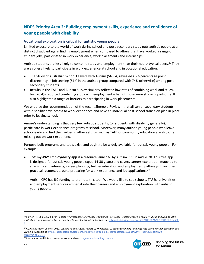### **NDES Priority Area 2: Building employment skills, experience and confidence of young people with disability**

#### **Vocational exploration is critical for autistic young people**

Limited exposure to the world of work during school and post-secondary study puts autistic people at a distinct disadvantage in finding employment when compared to others that have worked a range of student jobs, participated in work experience, work placements and internships.

Autistic students are less likely to combine study and employment than their neuro-typical peers.<sup>26</sup> They are also less likely to participate in work experience at school and in vocational education.

- The Study of Australian School Leavers with Autism (SASLA) revealed a 23-percentage point discrepancy in job seeking (51% in the autistic group compared with 74% otherwise) among postsecondary students.
- Results in the TAFE and Autism Survey similarly reflected low rates of combining work and study. Just 20.4% reported combining study with employment – half of those were studying part-time. It also highlighted a range of barriers to participating in work placements.

We endorse the recommendation of the recent Shergold Review<sup>27</sup> that all senior secondary students with disability have access to work experience and have an individual post-school transition plan in place prior to leaving school.

Amaze's understanding is that very few autistic students, (or students with disability generally), participate in work-experience programs at school. Moreover, many autistic young people who leave school early and find themselves in other settings such as TAFE or community education are also often missing out on work-experience.

Purpose-built programs and tools exist, and ought to be widely available for autistic young people. For example:

• The **myWAY Employability app** is a resource launched by Autism CRC in mid 2020. This free app is designed for autistic young people (aged 14-30 years) and covers careers exploration matched to strengths and interests, career planning, further education and employment pathways. It includes practical resources around preparing for work experience and job applications.<sup>28</sup>

Autism CRC has ILC funding to promote this tool. We would like to see schools, TAFEs, universities and employment services embed it into their careers and employment exploration with autistic young people.



<sup>26</sup> Flower, RL. Et al., 2020. Brief Report: *What Happens After School? Exploring Post*‑*school Outcomes for a Group of Autistic and Non*‑*autistic Australian Youth Journal of Autism and Developmental Disorders.* Available at[: https://link.springer.com/article/10.1007%2Fs10803-020-04600-](https://link.springer.com/article/10.1007%2Fs10803-020-04600-6) [6](https://link.springer.com/article/10.1007%2Fs10803-020-04600-6)

<sup>27</sup> COAG Education Council, 2020. *Looking To The Future, Report Of The Review Of Senior Secondary Pathways Into Work, Further Education and Training*. Available at: [https://uploadstorage.blob.core.windows.net/public-assets/education-au/pathways/Final%20report%20-](https://uploadstorage.blob.core.windows.net/public-assets/education-au/pathways/Final%20report%20-%2018%20June.pdf) [%2018%20June.pdf](https://uploadstorage.blob.core.windows.net/public-assets/education-au/pathways/Final%20report%20-%2018%20June.pdf)

<sup>&</sup>lt;sup>28</sup> Information and links to resources are available at[: mywayemployability.com.au](http://click.email.autismcrc.com.au/?qs=75763dabd0c8a1d0a6f051be25276ac803feaba65306ad57d9dfed4ace4108855556fb9f747ab0f0f99f9a1a4f5a03653c0aa7305e4680c417deecf6c48dee81)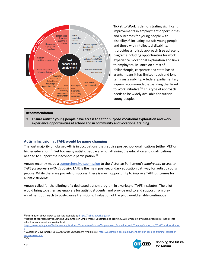

**Ticket to Work** is demonstrating significant improvements in employment opportunities and outcomes for young people with disability,  $29$  including autistic young people and those with intellectual disability. It provides a holistic approach (see adjacent diagram) including opportunities for work experience, vocational exploration and links to employers. Reliance on a mix of philanthropic, corporate and state based grants means it has limited reach and longterm sustainability. A federal parliamentary inquiry recommended expanding the Ticket to Work initiative.<sup>30</sup> This type of approach needs to be widely available for autistic young people.

#### **Recommendation**

**9. Ensure autistic young people have access to fit for purpose vocational exploration and work experience opportunities at school and in community and vocational training.**

#### **Autism Inclusion at TAFE would be game changing**

The vast majority of jobs growth is in occupations that require post-school qualifications (either VET or higher education).<sup>31</sup> Yet too many autistic people are not attaining the education and qualifications needed to support their economic participation.<sup>32</sup>

Amaze recently made a [comprehensive submission](https://www.amaze.org.au/wp-content/uploads/2020/12/Amaze-submission-TAFE-and-Autism-Nov-2020.pdf) to the Victorian Parliament's *Inquiry into access to TAFE for learners with disability*. TAFE is the main post-secondary education pathway for autistic young people. While there are pockets of success, there is much opportunity to improve TAFE outcomes for autistic students.

Amaze called for the piloting of a dedicated autism program in a variety of TAFE Institutes. The pilot would bring together key enablers for autistic students, and provide end to end support from preenrolment outreach to post-course transitions. Evaluation of the pilot would enable continuous

<sup>31</sup> Australian Government, 2018. *Australian Jobs Report.* Available at: [https://australianjobs.employment.gov.au/jobs-and-training/education](https://australianjobs.employment.gov.au/jobs-and-training/education-and-employment)[and-employment](https://australianjobs.employment.gov.au/jobs-and-training/education-and-employment) <sup>32</sup> *Ibid*



<sup>&</sup>lt;sup>29</sup> Information about Ticket to Work is available at:<https://tickettowork.org.au/>

<sup>&</sup>lt;sup>30</sup> House of Representatives Standing Committee on Employment, Education and Training 2018, Unique individuals, broad skills: Inquiry into school to work transition. Available at:

[https://www.aph.gov.au/Parliamentary\\_Business/Committees/House/Employment\\_Education\\_and\\_Training/School\\_to\\_WorkTransition/Repor](https://www.aph.gov.au/Parliamentary_Business/Committees/House/Employment_Education_and_Training/School_to_WorkTransition/Report) [t](https://www.aph.gov.au/Parliamentary_Business/Committees/House/Employment_Education_and_Training/School_to_WorkTransition/Report)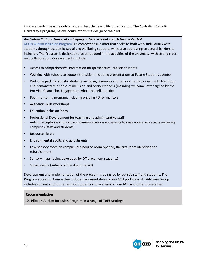improvements, measure outcomes, and test the feasibility of replication. The Australian Catholic University's program, below, could inform the design of the pilot.

#### *Australian Catholic University – helping autistic students reach their potential*

[ACU's Autism Inclusion Program](https://www.acu.edu.au/student-life/student-services/autism-at-uni) is a comprehensive offer that seeks to both work individually with students through academic, social and wellbeing supports while also addressing structural barriers to inclusion. The Program is designed to be embedded in the activities of the university, with strong crossunit collaboration. Core elements include:

- Access to comprehensive information for (prospective) autistic students
- Working with schools to support transition (including presentations at Future Students events)
- Welcome pack for autistic students including resources and sensory items to assist with transition and demonstrate a sense of inclusion and connectedness (including welcome letter signed by the Pro Vice-Chancellor, Engagement who is herself autistic)
- Peer mentoring program, including ongoing PD for mentors
- Academic skills workshops
- Education Inclusion Plans
- Professional Development for teaching and administrative staff
- Autism acceptance and inclusion communications and events to raise awareness across university campuses (staff and students)
- Resource library
- Environmental audits and adjustments
- Low-sensory room on campus (Melbourne room opened, Ballarat room identified for refurbishment)
- Sensory maps (being developed by OT placement students)
- Social events (initially online due to Covid)

Development and implementation of the program is being led by autistic staff and students. The Program's Steering Committee includes representatives of key ACU portfolios. An Advisory Group includes current and former autistic students and academics from ACU and other universities.

#### **Recommendation**

**10. Pilot an Autism Inclusion Program in a range of TAFE settings.**

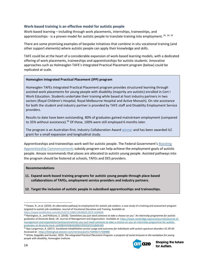#### **Work-based training is an effective model for autistic people**

Work-based learning – including through work placements, internships, traineeships, and apprenticeships - is a proven model for autistic people to translate training into employment. 33, 34, 35

There are some promising examples of bespoke initiatives that combine in situ vocational training (and other support elements) where autistic people can apply their knowledge and skills.

TAFE could be at the heart of a considerable expansion of work-based learning models, with a dedicated offering of work placements, traineeships and apprenticeships for autistic students. Innovative approaches such as Holmesglen TAFE's Integrated Practical Placement program (below) could be replicated at scale.

#### **Homesglen Integrated Practical Placement (IPP) program**

Homesglen TAFEs Integrated Practical Placement program provides structured learning through assisted work placements for young people with disability (majority are autistic) enrolled in Cert I Work Education. Students undertake their training while based at host industry partners in two sectors (Royal Children's Hospital, Royal Melbourne Hospital and Active Monash). On site assistance for both the student and industry partner is provided by TAFE staff and Disability Employment Service providers.

Results to date have been outstanding. 80% of graduates gained mainstream employment (compared to 35% without assistance).<sup>36</sup> Of these, 100% were still employed 6 months later.

The program is an Australian-first, Industry Collaboration Award [winner](https://holmesglen.edu.au/2019-winner/#:~:text=Holmesglen%20has%20won%20the%202019,its%20work%20with%20the%20RCH.) and has been awarded ILC grant for a small expansion and longitudinal study.

Apprenticeships and traineeships work well for autistic people. The Federal Government's [Boosting](https://www.dese.gov.au/boosting-apprenticeship-commencements)  [Apprenticeship Commencements](https://www.dese.gov.au/boosting-apprenticeship-commencements) subsidy program can help achieve the employment goals of autistic people. Amaze recommends that places are allocated to autistic young people. Assisted pathways into the program should be fostered at schools, TAFEs and DES providers.

#### **Recommendations**

**11. Expand work-based training programs for autistic young people through place-based collaborations of TAFEs, employment service providers and industry partners.**

**12. Target the inclusion of autistic people in subsidised apprenticeships and traineeships.**

<sup>36</sup> White, Kiegaldie and Hunter, 2019. *The Integrated Practical Placement Program: a program of social inclusion in the workplace for young people with disability*, Homesglen Institute.



<sup>&</sup>lt;sup>33</sup> Flower, R., et al. (2019). An alternative pathway to employment for autistic job-seekers: a case study of a training and assessment program targeted to autistic job candidates. Journal of Vocational Education and Training. Available at: <https://www.tandfonline.com/doi/full/10.1080/13636820.2019.1636846>

<sup>34</sup> Remington, A., and Pellicano, E. (2018). '*Sometimes you just need someone to take a chance on you.' An internship programme for autistic graduates at Deutsche Bank, UK.* Journal of Management and Organisation. Available at: [https://www.cambridge.org/core/journals/journal-of](https://www.cambridge.org/core/journals/journal-of-management-and-organization/article/sometimes-you-just-need-someone-to-take-a-chance-on-you-an-internship-programme-for-autistic-graduates-at-deutsche-bank-uk/60B2AF606ADA081C93E01EEC41BAE3A9)[management-and-organization/article/sometimes-you-just-need-someone-to-take-a-chance-on-you-an-internship-programme-for-autistic](https://www.cambridge.org/core/journals/journal-of-management-and-organization/article/sometimes-you-just-need-someone-to-take-a-chance-on-you-an-internship-programme-for-autistic-graduates-at-deutsche-bank-uk/60B2AF606ADA081C93E01EEC41BAE3A9)[graduates-at-deutsche-bank-uk/60B2AF606ADA081C93E01EEC41BAE3A9](https://www.cambridge.org/core/journals/journal-of-management-and-organization/article/sometimes-you-just-need-someone-to-take-a-chance-on-you-an-internship-programme-for-autistic-graduates-at-deutsche-bank-uk/60B2AF606ADA081C93E01EEC41BAE3A9)

<sup>35</sup> Nye-Lengerman, K. (2017). *Vocational rehabilitation service usage and outcomes for individuals with autism spectrum disorders 41:39-50.* Accessed at:<https://linkinghub.elsevier.com/retrieve/pii/S1750946717300880>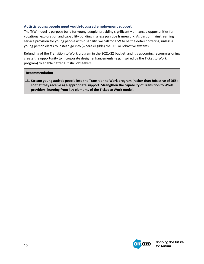#### **Autistic young people need youth-focussed employment support**

The TtW model is purpose build for young people, providing significantly enhanced opportunities for vocational exploration and capability building in a less punitive framework. As part of mainstreaming service provision for young people with disability, we call for TtW to be the default offering, unless a young person elects to instead go into (where eligible) the DES or Jobactive systems.

Refunding of the Transition to Work program in the 2021/22 budget, and it's upcoming recommissioning create the opportunity to incorporate design enhancements (e.g. inspired by the Ticket to Work program) to enable better autistic jobseekers.

#### **Recommendation**

**13. Stream young autistic people into the Transition to Work program (rather than Jobactive of DES) so that they receive age-appropriate support. Strengthen the capability of Transition to Work providers, learning from key elements of the Ticket to Work model.**

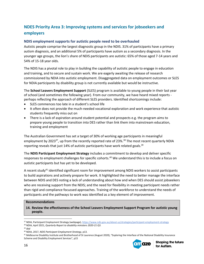### **NDES Priority Area 3: Improving systems and services for jobseekers and employers**

#### **NDIS employment supports for autistic people need to be overhauled**

Autistic people comprise the largest diagnostic group in the NDIS. 31% of participants have a primary autism diagnosis, and an additional 5% of participants have autism as a secondary diagnosis. In the younger age groups, the lion's share of NDIS participants are autistic: 65% of those aged 7-14 years and 54% of 15-18 year olds.

The NDIS has a pivotal role to play in building the capability of autistic people to engage in education and training, and to secure and sustain work. We are eagerly awaiting the release of research commissioned by NDIA into autistic employment. Disaggregated data on employment outcomes or SLES for NDIA participants by disability group is not currently available but would be instructive.

The **School Leavers Employment Support** (SLES) program is available to young people in their last year of school (and sometimes the following year). From our community, we have heard mixed reports perhaps reflecting the approach of different SLES providers. Identified shortcomings include:

- SLES commences too late in a student's school life
- It often does not provide the much-needed vocational exploration and work experience that autistic students frequently miss out on
- There is a lack of aspiration around student potential and prospects e.g. the program aims to prepare young people to transition into DES rather than link them into mainstream education, training and employment

The Australian Government has set a target of 30% of working age participants in meaningful employment by 2023<sup>37</sup>, up from the recently reported rate of 23%.<sup>38</sup> The most recent quarterly NDIA reporting reveals that just 14% of autistic participants have work related goals. $39$ 

The **NDIS Participant Employment Strategy** includes a commitment to develop and deliver specific responses to employment challenges for specific cohorts.<sup>40</sup> We understand this is to include a focus on autistic participants but has yet to be developed.

A recent study<sup>41</sup> identified significant room for improvement among NDIS workers to assist participants to build aspirations and actively prepare for work. It highlighted the need to better manage the interface between NDIS and DES noting a lack of understanding about how and when DES should assist jobseekers who are receiving support from the NDIS; and the need for flexibility in meeting participant needs rather than rigid and compliance focussed approaches. Training of the workforce to understand the needs of participants and the pathways to work was identified as a key element of improvement.

#### **Recommendations**

**14. Review the effectiveness of the School Leavers Employment Support Program for autistic young people.**

<sup>41</sup> Melbourne Disability Institute and Brotherhood of St Laurence (August 2020), "Exploring the Interface of the National Disability Insurance Scheme and Disability Employment Services", p15



<sup>37</sup> NDIA, Participant Employment Strategy (webpage)[, https://www.ndis.gov.au/about-us/strategies/participant-employment-strategy](https://www.ndis.gov.au/about-us/strategies/participant-employment-strategy)

<sup>38</sup> NDIA, April 2021, *Quarterly Report to disability ministers 2020-21 Q3.*

<sup>39</sup> *ibid*

<sup>40</sup> NDIA, 2017, *NDIS Participant Employment Strategy*, p13.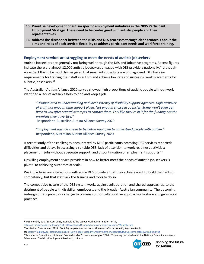- **15. Prioritise development of autism specific employment initiatives in the NDIS Participant Employment Strategy. These need to be co-designed with autistic people and their representatives.**
- **16. Address the disconnect between the NDIS and DES processes through clear protocols about the aims and roles of each service; flexibility to address participant needs and workforce training.**

#### **Employment services are struggling to meet the needs of autistic jobseekers**

Autistic jobseekers are generally not faring well through the DES and Jobactive programs. Recent figures indicate there are almost 12,000 autistic jobseekers engaged with DES providers nationally,<sup>42</sup> although we expect this to be much higher given that most autistic adults are undiagnosed. DES have no requirements for training their staff in autism and achieve low rates of successful work placements for autistic jobseekers.<sup>43</sup>

The Australian Autism Alliance 2020 survey showed high proportions of autistic people without work identified a lack of available help to find and keep a job.

*"Disappointed in understanding and inconsistency of disability support agencies. High turnover of staff, not enough time support given. Not enough choice in agencies. Some won't even get*  back to you after several attempts to contact them. Feel like they're in it for the funding not the *promises they advertise."*

Respondent, Australian Autism Alliance Survey 2020

*"Employment agencies need to be better equipped to understand people with autism."* Respondent, Australian Autism Alliance Survey 2020

A recent study of the challenges encountered by NDIS participants accessing DES services reported: difficulties and delays in accessing a suitable DES; lack of attention to work readiness activities; placement in jobs without adequate support; and discontinuation of employment supports.<sup>44</sup>

Upskilling employment service providers in how to better meet the needs of autistic job seekers is pivotal to achieving outcomes at scale.

We know from our interactions with some DES providers that they actively want to build their autism competency, but that staff lack the training and tools to do so.

The competitive nature of the DES system works against collaboration and shared approaches, to the detriment of people with disability, employers, and the broader Australian community. The upcoming redesign of DES provides a change to commission for collaborative approaches to share and grow good practices.

at: <https://lmip.gov.au/default.aspx?LMIP/Downloads/DisabilityEmploymentServicesData/DESOutcomeRatesbyDisabilityType> <sup>44</sup> Melbourne Disability Institute and Brotherhood of St Laurence (August 2020), "Exploring the Interface of the National Disability Insurance Scheme and Disability Employment Services", p14 et al



<sup>42</sup> DES monthly data, 30 April 2021, available at the Labour Market Information Portal,

<https://lmip.gov.au/default.aspx?LMIP/Downloads/DisabilityEmploymentServicesData/MonthlyData>

<sup>43</sup> Australian Government, 2017. *Disability employment services – Outcome rates by disability type*. Available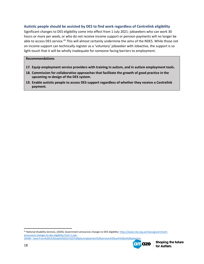#### **Autistic people should be assisted by DES to find work regardless of Centrelink eligibility**

Significant changes to DES eligibility come into effect from 1 July 2021: jobseekers who can work 30 hours or more per week, or who do not receive income support or pension payments will no longer be able to access DES service.<sup>45</sup> This will almost certainly undermine the aims of the NDES. While those not on income support can technically register as a 'voluntary' jobseeker with Jobactive, the support is so light-touch that it will be wholly inadequate for someone facing barriers to employment.

#### **Recommendations**

- **17. Equip employment service providers with training in autism, and in autism employment tools.**
- **18. Commission for collaborative approaches that facilitate the growth of good practice in the upcoming re-design of the DES system.**
- **19. Enable autistic people to access DES support regardless of whether they receive a Centrelink payment.**

45 National Disability Services, (2020), Government announces changes to DES eligibility[: https://www.nds.org.au/news/government](https://www.nds.org.au/news/government-announces-changes-to-des-eligibility-from-1-july-2020#:~:text=From%201%20July%202021%2C%20job,employment%20services%20such%20as%20jobactive)[announces-changes-to-des-eligibility-from-1-july-](https://www.nds.org.au/news/government-announces-changes-to-des-eligibility-from-1-july-2020#:~:text=From%201%20July%202021%2C%20job,employment%20services%20such%20as%20jobactive)[2020#:~:text=From%201%20July%202021%2C%20job,employment%20services%20such%20as%20jobactive.](https://www.nds.org.au/news/government-announces-changes-to-des-eligibility-from-1-july-2020#:~:text=From%201%20July%202021%2C%20job,employment%20services%20such%20as%20jobactive)

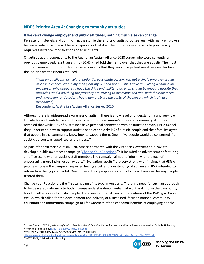### **NDES Priority Area 4: Changing community attitudes**

#### **If we can't change employer and public attitudes, nothing much else can change**

Persistent misbeliefs and common myths stymie the efforts of autistic job seekers, with many employers believing autistic people will be less capable, or that it will be burdensome or costly to provide any required assistance, modifications or adjustments.

Of autistic adult respondents to the Australian Autism Alliance 2020 survey who were currently or previously employed, less than a third (30.4%) had told their employer that they are autistic. The most common reasons for non-disclosure were concerns that they would be judged negatively and/or lose the job or have their hours reduced.

*"I am an intelligent, articulate, pedantic, passionate person. Yet, not a single employer would give me a chance. Not in my teens, not my 20s and not my 30s. I gave up. Taking a chance on any person who appears to have the drive and ability to do a job should be enough, despite their obstacles (and if anything the fact they are striving to overcome and deal with their obstacles and have been for decades, should demonstrate the gusto of the person, which is always overlooked)."*

Respondent, Australian Autism Alliance Survey 2020

Although there is widespread awareness of autism, there is a low level of understanding and very low knowledge and confidence about how to be supportive. Amaze's survey of community attitudes revealed that while 85% of Australians have personal connection with an autistic person, just 29% feel they understand how to support autistic people; and only 4% of autistic people and their families agree that people in the community know how to support them. One in five people would be concerned if an autistic person was appointed as their boss. 46

As part of the Victorian Autism Plan, Amaze partnered with the Victorian Government in 2020 to develop a public awareness campaign '[Change Your Reactions.](https://changeyourreactions.com/)'<sup>47</sup> It included an advertisement featuring an office scene with an autistic staff member. The campaign aimed to inform, with the goal of encouraging more inclusive behaviours.<sup>48</sup> Evaluation results<sup>49</sup> are very strong with findings that 68% of people who saw the campaign reported having a better understanding of autism and 85% intended to refrain from being judgmental. One in five autistic people reported noticing a change in the way people treated them.

Change your Reactions is the first campaign of its type in Australia. There is a need for such an approach to be delivered nationally to both increase understanding of autism at work and inform the community how to better support autistic people. This corresponds with recommendations of the *Willing to Work Inquiry* which called for the development and delivery of a sustained, focused national community education and information campaign to lift awareness of the economic benefits of employing people



<sup>46</sup> Jones S et al., 2017. *Experiences of Autistic People and their Families*, Centre for Health and Social Research, Australian Catholic University. 47 View the campaign at <https://changeyourreactions.com/>

<sup>48</sup> Victorian Government, 2019. *Victorian Autism Plan*. Available at:

[https://www.statedisabilityplan.vic.gov.au/application/files/5115/7543/9606/1805022\\_Victorian\\_Autism\\_Plan-WEB.pdf](https://www.statedisabilityplan.vic.gov.au/application/files/5115/7543/9606/1805022_Victorian_Autism_Plan-WEB.pdf)

<sup>49</sup> ARTD 2021, Publication forthcoming